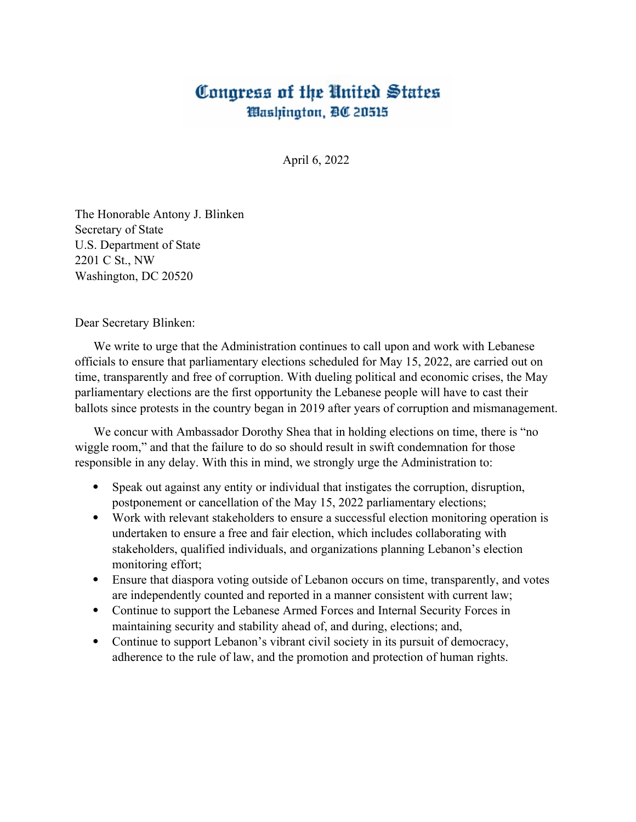## Congress of the United States Washington, BC 20515

April 6, 2022

The Honorable Antony J. Blinken Secretary of State U.S. Department of State 2201 C St., NW Washington, DC 20520

Dear Secretary Blinken:

We write to urge that the Administration continues to call upon and work with Lebanese officials to ensure that parliamentary elections scheduled for May 15, 2022, are carried out on time, transparently and free of corruption. With dueling political and economic crises, the May parliamentary elections are the first opportunity the Lebanese people will have to cast their ballots since protests in the country began in 2019 after years of corruption and mismanagement.

We concur with Ambassador Dorothy Shea that in holding elections on time, there is "no wiggle room," and that the failure to do so should result in swift condemnation for those responsible in any delay. With this in mind, we strongly urge the Administration to:

- Speak out against any entity or individual that instigates the corruption, disruption, postponement or cancellation of the May 15, 2022 parliamentary elections;
- Work with relevant stakeholders to ensure a successful election monitoring operation is undertaken to ensure a free and fair election, which includes collaborating with stakeholders, qualified individuals, and organizations planning Lebanon's election monitoring effort;
- Ensure that diaspora voting outside of Lebanon occurs on time, transparently, and votes are independently counted and reported in a manner consistent with current law;
- Continue to support the Lebanese Armed Forces and Internal Security Forces in maintaining security and stability ahead of, and during, elections; and,
- Continue to support Lebanon's vibrant civil society in its pursuit of democracy, adherence to the rule of law, and the promotion and protection of human rights.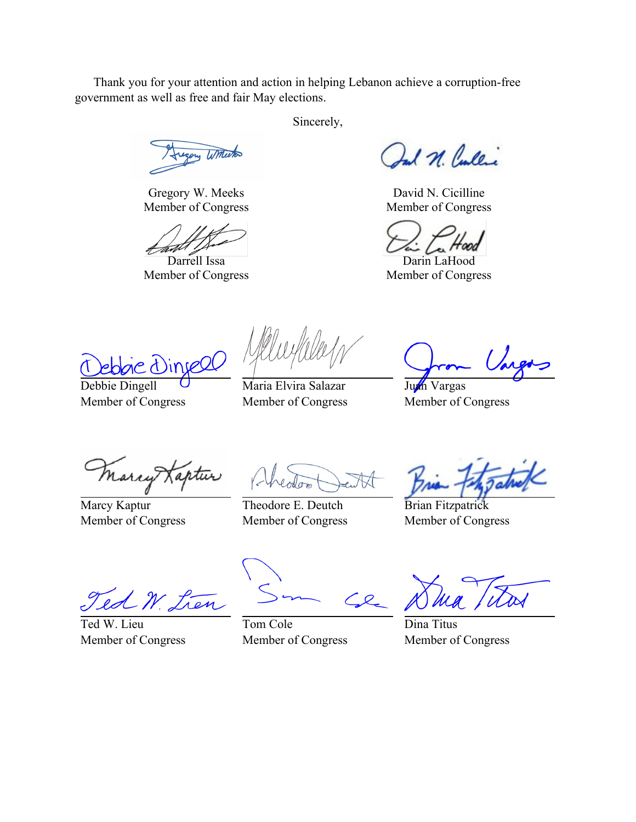Thank you for your attention and action in helping Lebanon achieve a corruption-free government as well as free and fair May elections.

Sincerely,

Winterton

Gregory W. Meeks Member of Congress

Darrell Issa Member of Congress

Ind N. Cullic

David N. Cicilline Member of Congress

Darin LaHood Member of Congress

reel

Debbie Dingell Member of Congress

Maria Elvira Salazar Member of Congress

Juan Vargas Member of Congress

Marry Kaptur

Marcy Kaptur Member of Congress

Theodore E. Deutch Member of Congress

Brian Fitzpatrick Member of Congress

ed W. Lien

Ted W. Lieu Member of Congress

Tom Cole Member of Congress

Dina Titus Member of Congress